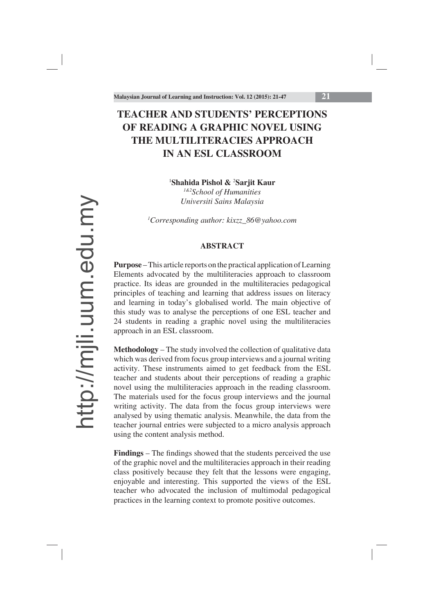# **TEACHER AND STUDENTS' PERCEPTIONS OF READING A GRAPHIC NOVEL USING THE MULTILITERACIES APPROACH IN AN ESL CLASSROOM**

<sup>1</sup>Shahida Pishol & <sup>2</sup>Sarjit Kaur

*1&2School of Humanities Universiti Sains Malaysia*

*1 Corresponding author: kixzz\_86@yahoo.com*

### **ABSTRACT**

**Purpose** – This article reports on the practical application of Learning Elements advocated by the multiliteracies approach to classroom practice. Its ideas are grounded in the multiliteracies pedagogical principles of teaching and learning that address issues on literacy and learning in today's globalised world. The main objective of this study was to analyse the perceptions of one ESL teacher and 24 students in reading a graphic novel using the multiliteracies approach in an ESL classroom.

**Methodology** – The study involved the collection of qualitative data which was derived from focus group interviews and a journal writing activity. These instruments aimed to get feedback from the ESL teacher and students about their perceptions of reading a graphic novel using the multiliteracies approach in the reading classroom. The materials used for the focus group interviews and the journal writing activity. The data from the focus group interviews were analysed by using thematic analysis. Meanwhile, the data from the teacher journal entries were subjected to a micro analysis approach using the content analysis method.

**Findings** – The findings showed that the students perceived the use of the graphic novel and the multiliteracies approach in their reading class positively because they felt that the lessons were engaging, enjoyable and interesting. This supported the views of the ESL teacher who advocated the inclusion of multimodal pedagogical practices in the learning context to promote positive outcomes.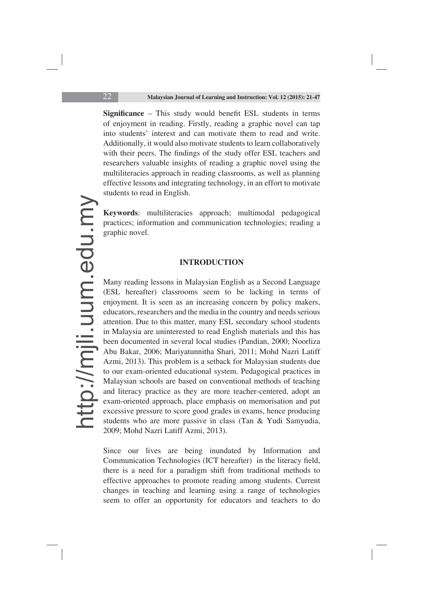**Significance** – This study would benefit ESL students in terms of enjoyment in reading. Firstly, reading a graphic novel can tap into students' interest and can motivate them to read and write. Additionally, it would also motivate students to learn collaboratively with their peers. The findings of the study offer ESL teachers and researchers valuable insights of reading a graphic novel using the multiliteracies approach in reading classrooms, as well as planning effective lessons and integrating technology, in an effort to motivate students to read in English.

**Keywords**: multiliteracies approach; multimodal pedagogical practices; information and communication technologies; reading a graphic novel.

#### **INTRODUCTION**

Many reading lessons in Malaysian English as a Second Language (ESL hereafter) classrooms seem to be lacking in terms of enjoyment. It is seen as an increasing concern by policy makers, educators, researchers and the media in the country and needs serious attention. Due to this matter, many ESL secondary school students in Malaysia are uninterested to read English materials and this has been documented in several local studies (Pandian, 2000; Noorliza Abu Bakar, 2006; Mariyatunnitha Shari, 2011; Mohd Nazri Latiff Azmi, 2013). This problem is a setback for Malaysian students due to our exam-oriented educational system. Pedagogical practices in Malaysian schools are based on conventional methods of teaching and literacy practice as they are more teacher-centered, adopt an exam-oriented approach, place emphasis on memorisation and put excessive pressure to score good grades in exams, hence producing students who are more passive in class (Tan & Yudi Samyudia, 2009; Mohd Nazri Latiff Azmi, 2013).

Since our lives are being inundated by Information and Communication Technologies (ICT hereafter) in the literacy field, there is a need for a paradigm shift from traditional methods to effective approaches to promote reading among students. Current changes in teaching and learning using a range of technologies seem to offer an opportunity for educators and teachers to do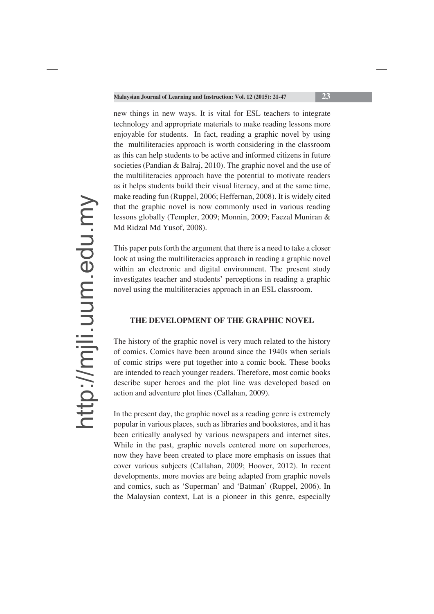new things in new ways. It is vital for ESL teachers to integrate technology and appropriate materials to make reading lessons more enjoyable for students. In fact, reading a graphic novel by using the multiliteracies approach is worth considering in the classroom as this can help students to be active and informed citizens in future societies (Pandian & Balraj, 2010). The graphic novel and the use of the multiliteracies approach have the potential to motivate readers as it helps students build their visual literacy, and at the same time, make reading fun (Ruppel, 2006; Heffernan, 2008). It is widely cited that the graphic novel is now commonly used in various reading lessons globally (Templer, 2009; Monnin, 2009; Faezal Muniran & Md Ridzal Md Yusof, 2008).

This paper puts forth the argument that there is a need to take a closer look at using the multiliteracies approach in reading a graphic novel within an electronic and digital environment. The present study investigates teacher and students' perceptions in reading a graphic novel using the multiliteracies approach in an ESL classroom.

#### **THE DEVELOPMENT OF THE GRAPHIC NOVEL**

The history of the graphic novel is very much related to the history of comics. Comics have been around since the 1940s when serials of comic strips were put together into a comic book. These books are intended to reach younger readers. Therefore, most comic books describe super heroes and the plot line was developed based on action and adventure plot lines (Callahan, 2009).

In the present day, the graphic novel as a reading genre is extremely popular in various places, such as libraries and bookstores, and it has been critically analysed by various newspapers and internet sites. While in the past, graphic novels centered more on superheroes, now they have been created to place more emphasis on issues that cover various subjects (Callahan, 2009; Hoover, 2012). In recent developments, more movies are being adapted from graphic novels and comics, such as 'Superman' and 'Batman' (Ruppel, 2006). In the Malaysian context, Lat is a pioneer in this genre, especially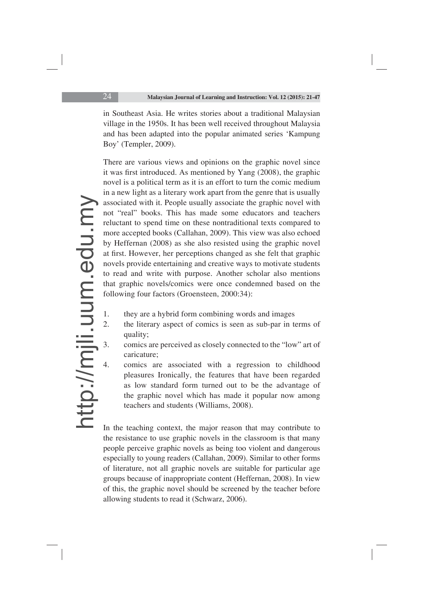in Southeast Asia. He writes stories about a traditional Malaysian village in the 1950s. It has been well received throughout Malaysia and has been adapted into the popular animated series 'Kampung Boy' (Templer, 2009).

There are various views and opinions on the graphic novel since it was first introduced. As mentioned by Yang (2008), the graphic novel is a political term as it is an effort to turn the comic medium in a new light as a literary work apart from the genre that is usually associated with it. People usually associate the graphic novel with not "real" books. This has made some educators and teachers reluctant to spend time on these nontraditional texts compared to more accepted books (Callahan, 2009). This view was also echoed by Heffernan (2008) as she also resisted using the graphic novel at first. However, her perceptions changed as she felt that graphic novels provide entertaining and creative ways to motivate students to read and write with purpose. Another scholar also mentions that graphic novels/comics were once condemned based on the following four factors (Groensteen, 2000:34):

- 1. they are a hybrid form combining words and images
- 2. the literary aspect of comics is seen as sub-par in terms of quality;
- 3. comics are perceived as closely connected to the "low" art of caricature;
- 4. comics are associated with a regression to childhood pleasures Ironically, the features that have been regarded as low standard form turned out to be the advantage of the graphic novel which has made it popular now among teachers and students (Williams, 2008).

In the teaching context, the major reason that may contribute to the resistance to use graphic novels in the classroom is that many people perceive graphic novels as being too violent and dangerous especially to young readers (Callahan, 2009). Similar to other forms of literature, not all graphic novels are suitable for particular age groups because of inappropriate content (Heffernan, 2008). In view of this, the graphic novel should be screened by the teacher before allowing students to read it (Schwarz, 2006).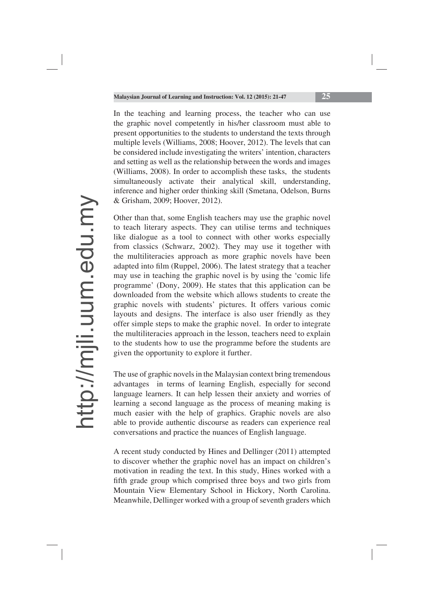In the teaching and learning process, the teacher who can use the graphic novel competently in his/her classroom must able to present opportunities to the students to understand the texts through multiple levels (Williams, 2008; Hoover, 2012). The levels that can be considered include investigating the writers' intention, characters and setting as well as the relationship between the words and images (Williams, 2008). In order to accomplish these tasks, the students simultaneously activate their analytical skill, understanding, inference and higher order thinking skill (Smetana, Odelson, Burns & Grisham, 2009; Hoover, 2012).

Other than that, some English teachers may use the graphic novel to teach literary aspects. They can utilise terms and techniques like dialogue as a tool to connect with other works especially from classics (Schwarz, 2002). They may use it together with the multiliteracies approach as more graphic novels have been adapted into film (Ruppel, 2006). The latest strategy that a teacher may use in teaching the graphic novel is by using the 'comic life programme' (Dony, 2009). He states that this application can be downloaded from the website which allows students to create the graphic novels with students' pictures. It offers various comic layouts and designs. The interface is also user friendly as they offer simple steps to make the graphic novel. In order to integrate the multiliteracies approach in the lesson, teachers need to explain to the students how to use the programme before the students are given the opportunity to explore it further.

The use of graphic novels in the Malaysian context bring tremendous advantages in terms of learning English, especially for second language learners. It can help lessen their anxiety and worries of learning a second language as the process of meaning making is much easier with the help of graphics. Graphic novels are also able to provide authentic discourse as readers can experience real conversations and practice the nuances of English language.

A recent study conducted by Hines and Dellinger (2011) attempted to discover whether the graphic novel has an impact on children's motivation in reading the text. In this study, Hines worked with a fifth grade group which comprised three boys and two girls from Mountain View Elementary School in Hickory, North Carolina. Meanwhile, Dellinger worked with a group of seventh graders which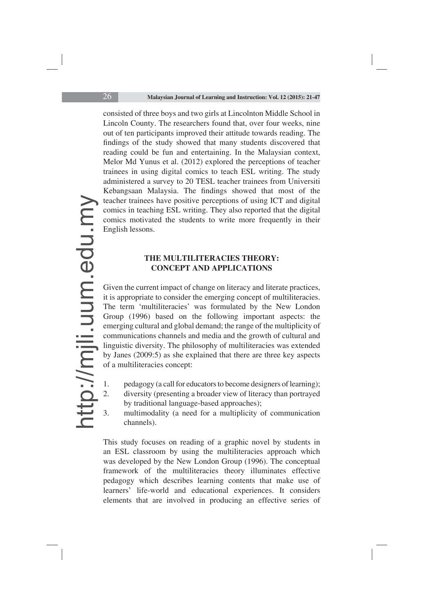consisted of three boys and two girls at Lincolnton Middle School in Lincoln County. The researchers found that, over four weeks, nine out of ten participants improved their attitude towards reading. The findings of the study showed that many students discovered that reading could be fun and entertaining. In the Malaysian context, Melor Md Yunus et al. (2012) explored the perceptions of teacher trainees in using digital comics to teach ESL writing. The study administered a survey to 20 TESL teacher trainees from Universiti Kebangsaan Malaysia. The findings showed that most of the teacher trainees have positive perceptions of using ICT and digital comics in teaching ESL writing. They also reported that the digital comics motivated the students to write more frequently in their English lessons.

### **THE MULTILITERACIES THEORY: CONCEPT AND APPLICATIONS**

Given the current impact of change on literacy and literate practices, it is appropriate to consider the emerging concept of multiliteracies. The term 'multiliteracies' was formulated by the New London Group (1996) based on the following important aspects: the emerging cultural and global demand; the range of the multiplicity of communications channels and media and the growth of cultural and linguistic diversity. The philosophy of multiliteracies was extended by Janes (2009:5) as she explained that there are three key aspects of a multiliteracies concept:

- 1. pedagogy (a call for educators to become designers of learning);
- 2. diversity (presenting a broader view of literacy than portrayed by traditional language-based approaches);
- 3. multimodality (a need for a multiplicity of communication channels).

This study focuses on reading of a graphic novel by students in an ESL classroom by using the multiliteracies approach which was developed by the New London Group (1996). The conceptual framework of the multiliteracies theory illuminates effective pedagogy which describes learning contents that make use of learners' life-world and educational experiences. It considers elements that are involved in producing an effective series of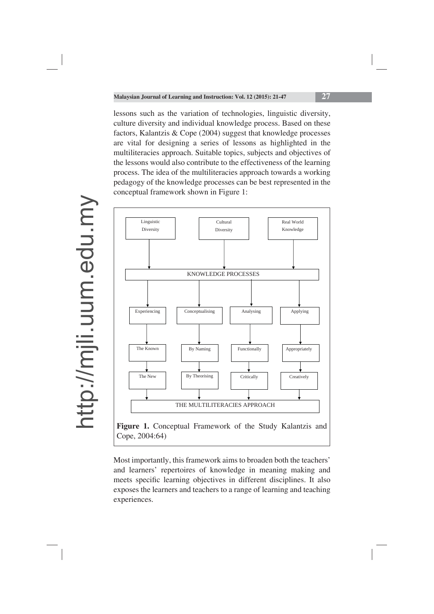lessons such as the variation of technologies, linguistic diversity, culture diversity and individual knowledge process. Based on these factors, Kalantzis & Cope (2004) suggest that knowledge processes are vital for designing a series of lessons as highlighted in the multiliteracies approach. Suitable topics, subjects and objectives of the lessons would also contribute to the effectiveness of the learning process. The idea of the multiliteracies approach towards a working pedagogy of the knowledge processes can be best represented in the conceptual framework shown in Figure 1:



Most importantly, this framework aims to broaden both the teachers' and learners' repertoires of knowledge in meaning making and meets specific learning objectives in different disciplines. It also exposes the learners and teachers to a range of learning and teaching experiences.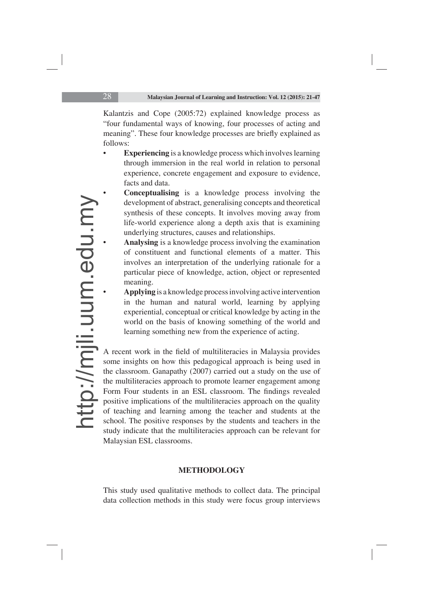Kalantzis and Cope (2005:72) explained knowledge process as "four fundamental ways of knowing, four processes of acting and meaning". These four knowledge processes are briefly explained as follows:

- **Experiencing** is a knowledge process which involves learning through immersion in the real world in relation to personal experience, concrete engagement and exposure to evidence, facts and data.
- **Conceptualising** is a knowledge process involving the development of abstract, generalising concepts and theoretical synthesis of these concepts. It involves moving away from life-world experience along a depth axis that is examining underlying structures, causes and relationships.
- **Analysing** is a knowledge process involving the examination of constituent and functional elements of a matter. This involves an interpretation of the underlying rationale for a particular piece of knowledge, action, object or represented meaning.
- **Applying** is a knowledge process involving active intervention in the human and natural world, learning by applying experiential, conceptual or critical knowledge by acting in the world on the basis of knowing something of the world and learning something new from the experience of acting.

A recent work in the field of multiliteracies in Malaysia provides some insights on how this pedagogical approach is being used in the classroom. Ganapathy (2007) carried out a study on the use of the multiliteracies approach to promote learner engagement among Form Four students in an ESL classroom. The findings revealed positive implications of the multiliteracies approach on the quality of teaching and learning among the teacher and students at the school. The positive responses by the students and teachers in the study indicate that the multiliteracies approach can be relevant for Malaysian ESL classrooms.

### **METHODOLOGY**

This study used qualitative methods to collect data. The principal data collection methods in this study were focus group interviews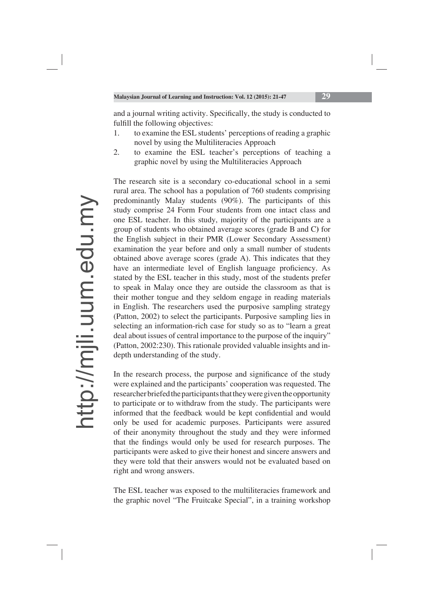and a journal writing activity. Specifically, the study is conducted to fulfill the following objectives:

- 1. to examine the ESL students' perceptions of reading a graphic novel by using the Multiliteracies Approach
- 2. to examine the ESL teacher's perceptions of teaching a graphic novel by using the Multiliteracies Approach

The research site is a secondary co-educational school in a semi rural area. The school has a population of 760 students comprising predominantly Malay students (90%). The participants of this study comprise 24 Form Four students from one intact class and one ESL teacher. In this study, majority of the participants are a group of students who obtained average scores (grade B and C**)** for the English subject in their PMR (Lower Secondary Assessment) examination the year before and only a small number of students obtained above average scores (grade A). This indicates that they have an intermediate level of English language proficiency. As stated by the ESL teacher in this study, most of the students prefer to speak in Malay once they are outside the classroom as that is their mother tongue and they seldom engage in reading materials in English. The researchers used the purposive sampling strategy (Patton, 2002) to select the participants. Purposive sampling lies in selecting an information-rich case for study so as to "learn a great deal about issues of central importance to the purpose of the inquiry" (Patton, 2002:230). This rationale provided valuable insights and indepth understanding of the study.

In the research process, the purpose and significance of the study were explained and the participants' cooperation was requested. The researcher briefed the participants that they were given the opportunity to participate or to withdraw from the study. The participants were informed that the feedback would be kept confidential and would only be used for academic purposes. Participants were assured of their anonymity throughout the study and they were informed that the findings would only be used for research purposes. The participants were asked to give their honest and sincere answers and they were told that their answers would not be evaluated based on right and wrong answers.

The ESL teacher was exposed to the multiliteracies framework and the graphic novel "The Fruitcake Special", in a training workshop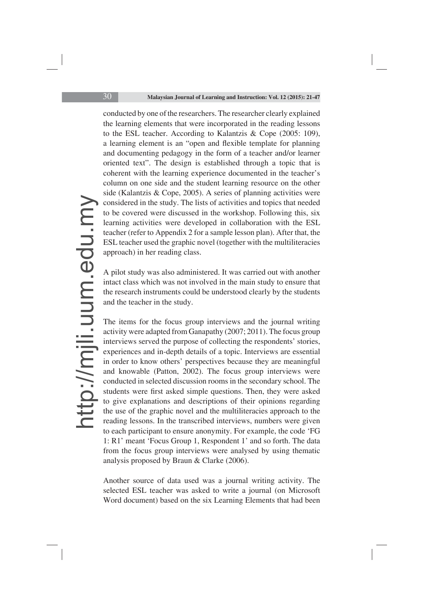conducted by one of the researchers. The researcher clearly explained the learning elements that were incorporated in the reading lessons to the ESL teacher. According to Kalantzis & Cope (2005: 109), a learning element is an "open and flexible template for planning and documenting pedagogy in the form of a teacher and/or learner oriented text". The design is established through a topic that is coherent with the learning experience documented in the teacher's column on one side and the student learning resource on the other side (Kalantzis & Cope, 2005). A series of planning activities were considered in the study. The lists of activities and topics that needed to be covered were discussed in the workshop. Following this, six learning activities were developed in collaboration with the ESL teacher (refer to Appendix 2 for a sample lesson plan). After that, the ESL teacher used the graphic novel (together with the multiliteracies approach) in her reading class.

A pilot study was also administered. It was carried out with another intact class which was not involved in the main study to ensure that the research instruments could be understood clearly by the students and the teacher in the study.

The items for the focus group interviews and the journal writing activity were adapted from Ganapathy (2007; 2011). The focus group interviews served the purpose of collecting the respondents' stories, experiences and in-depth details of a topic. Interviews are essential in order to know others' perspectives because they are meaningful and knowable (Patton, 2002). The focus group interviews were conducted in selected discussion rooms in the secondary school. The students were first asked simple questions. Then, they were asked to give explanations and descriptions of their opinions regarding the use of the graphic novel and the multiliteracies approach to the reading lessons. In the transcribed interviews, numbers were given to each participant to ensure anonymity. For example, the code 'FG 1: R1' meant 'Focus Group 1, Respondent 1' and so forth. The data from the focus group interviews were analysed by using thematic analysis proposed by Braun & Clarke (2006).

Another source of data used was a journal writing activity. The selected ESL teacher was asked to write a journal (on Microsoft Word document) based on the six Learning Elements that had been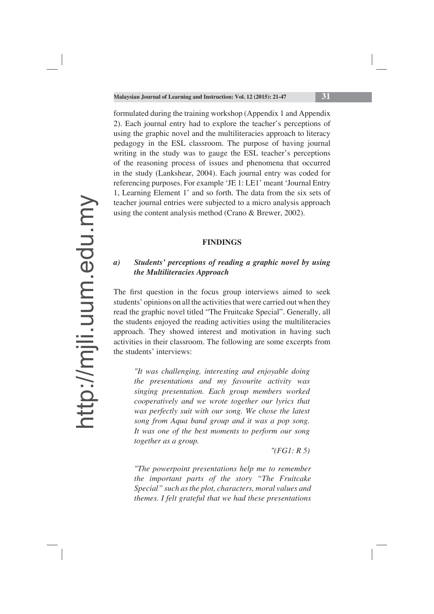formulated during the training workshop (Appendix 1 and Appendix 2). Each journal entry had to explore the teacher's perceptions of using the graphic novel and the multiliteracies approach to literacy pedagogy in the ESL classroom. The purpose of having journal writing in the study was to gauge the ESL teacher's perceptions of the reasoning process of issues and phenomena that occurred in the study (Lankshear, 2004). Each journal entry was coded for referencing purposes. For example 'JE 1: LE1' meant 'Journal Entry 1, Learning Element 1' and so forth. The data from the six sets of teacher journal entries were subjected to a micro analysis approach using the content analysis method (Crano & Brewer, 2002).

#### **FINDINGS**

### *a) Students' perceptions of reading a graphic novel by using the Multiliteracies Approach*

The first question in the focus group interviews aimed to seek students' opinions on all the activities that were carried out when they read the graphic novel titled "The Fruitcake Special". Generally, all the students enjoyed the reading activities using the multiliteracies approach. They showed interest and motivation in having such activities in their classroom. The following are some excerpts from the students' interviews:

*"It was challenging, interesting and enjoyable doing the presentations and my favourite activity was singing presentation. Each group members worked cooperatively and we wrote together our lyrics that was perfectly suit with our song. We chose the latest song from Aqua band group and it was a pop song. It was one of the best moments to perform our song together as a group.* 

*"(FG1: R 5)*

*"The powerpoint presentations help me to remember the important parts of the story "The Fruitcake Special" such as the plot, characters, moral values and themes. I felt grateful that we had these presentations*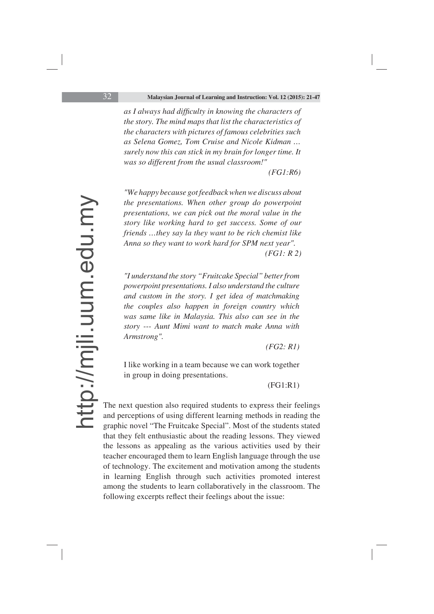as I always had difficulty in knowing the characters of *the story. The mind maps that list the characteristics of the characters with pictures of famous celebrities such as Selena Gomez, Tom Cruise and Nicole Kidman … surely now this can stick in my brain for longer time. It was so different from the usual classroom!"* 

 *(FG1:R6)*

*"We happy because got feedback when we discuss about the presentations. When other group do powerpoint presentations, we can pick out the moral value in the story like working hard to get success. Some of our friends …they say la they want to be rich chemist like Anna so they want to work hard for SPM next year". (FG1: R 2)*

*"I understand the story "Fruitcake Special" better from powerpoint presentations. I also understand the culture and custom in the story. I get idea of matchmaking the couples also happen in foreign country which was same like in Malaysia. This also can see in the story --- Aunt Mimi want to match make Anna with Armstrong".*

*(FG2: R1)*

I like working in a team because we can work together in group in doing presentations.

(FG1:R1)

The next question also required students to express their feelings and perceptions of using different learning methods in reading the graphic novel "The Fruitcake Special". Most of the students stated that they felt enthusiastic about the reading lessons. They viewed the lessons as appealing as the various activities used by their teacher encouraged them to learn English language through the use of technology. The excitement and motivation among the students in learning English through such activities promoted interest among the students to learn collaboratively in the classroom. The following excerpts reflect their feelings about the issue: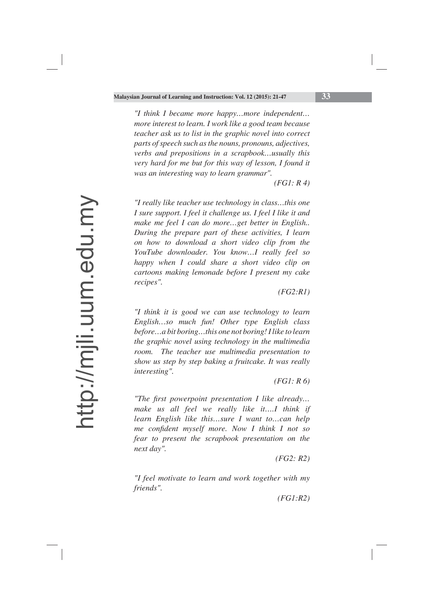*"I think I became more happy…more independent… more interest to learn. I work like a good team because teacher ask us to list in the graphic novel into correct parts of speech such as the nouns, pronouns, adjectives, verbs and prepositions in a scrapbook…usually this very hard for me but for this way of lesson, I found it was an interesting way to learn grammar".* 

*(FG1: R 4)*

*"I really like teacher use technology in class…this one I sure support. I feel it challenge us. I feel I like it and make me feel I can do more…get better in English.. During the prepare part of these activities, I learn on how to download a short video clip from the YouTube downloader. You know…I really feel so happy when I could share a short video clip on cartoons making lemonade before I present my cake recipes".*

 *(FG2:R1)*

*"I think it is good we can use technology to learn English…so much fun! Other type English class before…a bit boring…this one not boring! I like to learn the graphic novel using technology in the multimedia room. The teacher use multimedia presentation to show us step by step baking a fruitcake. It was really interesting".* 

*(FG1: R 6)*

*"The first powerpoint presentation I like already... make us all feel we really like it….I think if learn English like this…sure I want to…can help me confident myself more. Now I think I not so fear to present the scrapbook presentation on the next day".*

*(FG2: R2)*

*"I feel motivate to learn and work together with my friends".* 

*(FG1:R2)*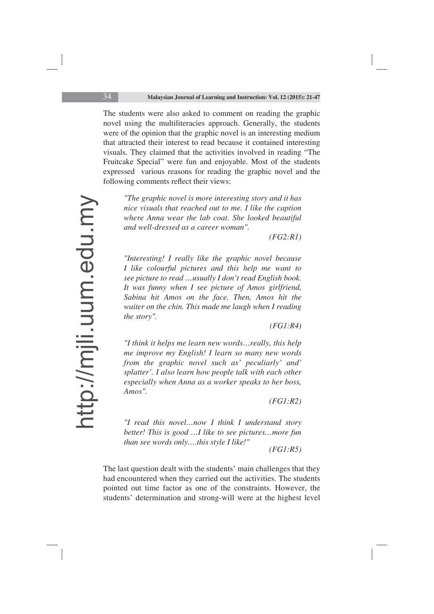The students were also asked to comment on reading the graphic novel using the multiliteracies approach. Generally, the students were of the opinion that the graphic novel is an interesting medium that attracted their interest to read because it contained interesting visuals. They claimed that the activities involved in reading "The Fruitcake Special" were fun and enjoyable. Most of the students expressed various reasons for reading the graphic novel and the following comments reflect their views:

*"The graphic novel is more interesting story and it has nice visuals that reached out to me. I like the caption where Anna wear the lab coat. She looked beautiful and well-dressed as a career woman".*

*(FG2:R1)*

*"Interesting! I really like the graphic novel because I like colourful pictures and this help me want to see picture to read …usually I don't read English book. It was funny when I see picture of Amos girlfriend, Sabina hit Amos on the face. Then, Amos hit the waiter on the chin. This made me laugh when I reading the story".*

*(FG1:R4)*

*"I think it helps me learn new words…really, this help me improve my English! I learn so many new words from the graphic novel such as' peculiarly' and' splatter'. I also learn how people talk with each other especially when Anna as a worker speaks to her boss, Amos".*

*(FG1:R2)*

*"I read this novel…now I think I understand story better! This is good …I like to see pictures…more fun than see words only….this style I like!" (FG1:R5)*

The last question dealt with the students' main challenges that they had encountered when they carried out the activities. The students pointed out time factor as one of the constraints. However, the students' determination and strong-will were at the highest level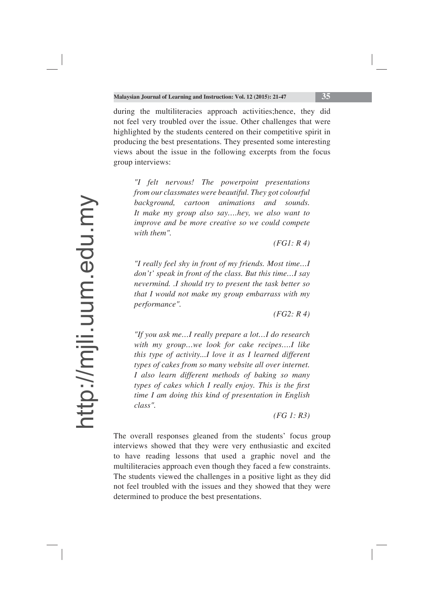during the multiliteracies approach activities;hence, they did not feel very troubled over the issue. Other challenges that were highlighted by the students centered on their competitive spirit in producing the best presentations. They presented some interesting views about the issue in the following excerpts from the focus group interviews:

*"I felt nervous! The powerpoint presentations from our classmates were beautiful. They got colourful background, cartoon animations and sounds. It make my group also say….hey, we also want to improve and be more creative so we could compete with them".*

*(FG1: R 4)*

*"I really feel shy in front of my friends. Most time…I don't' speak in front of the class. But this time…I say nevermind. .I should try to present the task better so that I would not make my group embarrass with my performance".*

*(FG2: R 4)*

*"If you ask me…I really prepare a lot…I do research with my group…we look for cake recipes….I like this type of activity...I love it as I learned different types of cakes from so many website all over internet. I also learn different methods of baking so many types of cakes which I really enjoy. This is the first time I am doing this kind of presentation in English class".*

*(FG 1: R3)*

The overall responses gleaned from the students' focus group interviews showed that they were very enthusiastic and excited to have reading lessons that used a graphic novel and the multiliteracies approach even though they faced a few constraints. The students viewed the challenges in a positive light as they did not feel troubled with the issues and they showed that they were determined to produce the best presentations.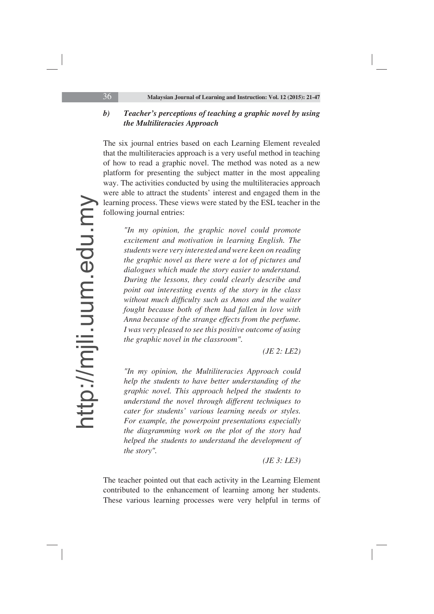### *b) Teacher's perceptions of teaching a graphic novel by using the Multiliteracies Approach*

The six journal entries based on each Learning Element revealed that the multiliteracies approach is a very useful method in teaching of how to read a graphic novel. The method was noted as a new platform for presenting the subject matter in the most appealing way. The activities conducted by using the multiliteracies approach were able to attract the students' interest and engaged them in the learning process. These views were stated by the ESL teacher in the following journal entries:

*"In my opinion, the graphic novel could promote excitement and motivation in learning English. The students were very interested and were keen on reading the graphic novel as there were a lot of pictures and dialogues which made the story easier to understand. During the lessons, they could clearly describe and point out interesting events of the story in the class*  without much difficulty such as Amos and the waiter *fought because both of them had fallen in love with Anna because of the strange effects from the perfume. I was very pleased to see this positive outcome of using the graphic novel in the classroom".*

*(JE 2: LE2)*

*"In my opinion, the Multiliteracies Approach could help the students to have better understanding of the graphic novel. This approach helped the students to understand the novel through different techniques to cater for students' various learning needs or styles. For example, the powerpoint presentations especially the diagramming work on the plot of the story had helped the students to understand the development of the story".*

*(JE 3: LE3)* 

The teacher pointed out that each activity in the Learning Element contributed to the enhancement of learning among her students. These various learning processes were very helpful in terms of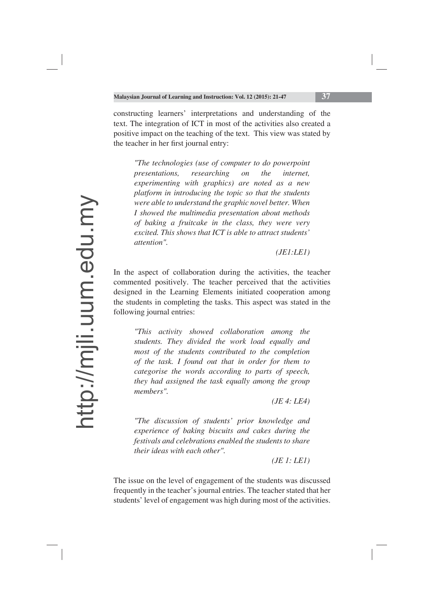constructing learners' interpretations and understanding of the text. The integration of ICT in most of the activities also created a positive impact on the teaching of the text. This view was stated by the teacher in her first journal entry:

*"The technologies (use of computer to do powerpoint presentations, researching on the internet, experimenting with graphics) are noted as a new platform in introducing the topic so that the students were able to understand the graphic novel better. When I showed the multimedia presentation about methods of baking a fruitcake in the class, they were very excited. This shows that ICT is able to attract students' attention".*

*(JE1:LE1)*

In the aspect of collaboration during the activities, the teacher commented positively. The teacher perceived that the activities designed in the Learning Elements initiated cooperation among the students in completing the tasks. This aspect was stated in the following journal entries:

*"This activity showed collaboration among the students. They divided the work load equally and most of the students contributed to the completion of the task. I found out that in order for them to categorise the words according to parts of speech, they had assigned the task equally among the group members".*

*(JE 4: LE4)*

*"The discussion of students' prior knowledge and experience of baking biscuits and cakes during the festivals and celebrations enabled the students to share their ideas with each other".*

 *(JE 1: LE1)*

The issue on the level of engagement of the students was discussed frequently in the teacher's journal entries. The teacher stated that her students' level of engagement was high during most of the activities.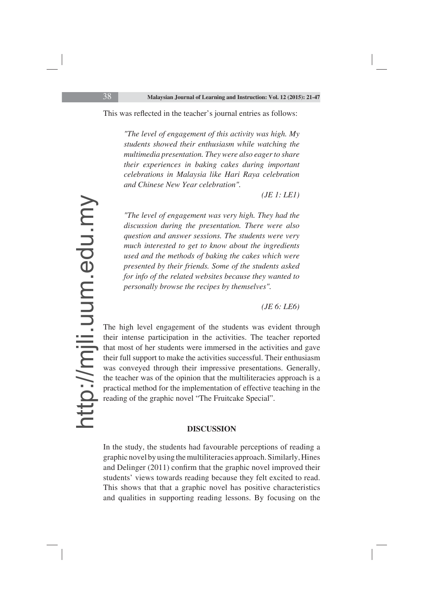This was reflected in the teacher's journal entries as follows:

*"The level of engagement of this activity was high. My students showed their enthusiasm while watching the multimedia presentation. They were also eager to share their experiences in baking cakes during important celebrations in Malaysia like Hari Raya celebration and Chinese New Year celebration".*

*(JE 1: LE1)*

*"The level of engagement was very high. They had the discussion during the presentation. There were also question and answer sessions. The students were very much interested to get to know about the ingredients used and the methods of baking the cakes which were presented by their friends. Some of the students asked for info of the related websites because they wanted to personally browse the recipes by themselves".*

*(JE 6: LE6)*

The high level engagement of the students was evident through their intense participation in the activities. The teacher reported that most of her students were immersed in the activities and gave their full support to make the activities successful. Their enthusiasm was conveyed through their impressive presentations. Generally, the teacher was of the opinion that the multiliteracies approach is a practical method for the implementation of effective teaching in the reading of the graphic novel "The Fruitcake Special".

#### **DISCUSSION**

In the study, the students had favourable perceptions of reading a graphic novel by using the multiliteracies approach. Similarly, Hines and Delinger  $(2011)$  confirm that the graphic novel improved their students' views towards reading because they felt excited to read. This shows that that a graphic novel has positive characteristics and qualities in supporting reading lessons. By focusing on the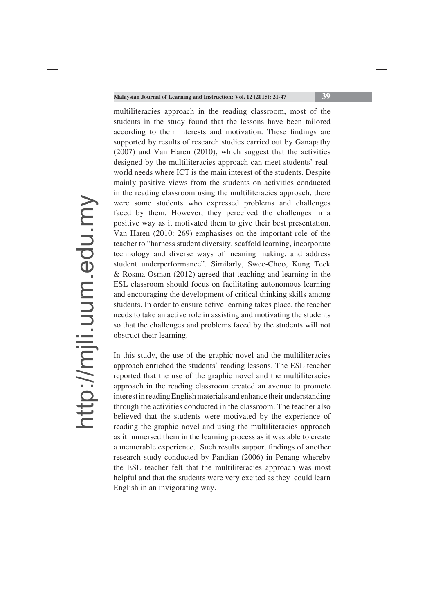multiliteracies approach in the reading classroom, most of the students in the study found that the lessons have been tailored according to their interests and motivation. These findings are supported by results of research studies carried out by Ganapathy (2007) and Van Haren (2010), which suggest that the activities designed by the multiliteracies approach can meet students' realworld needs where ICT is the main interest of the students. Despite mainly positive views from the students on activities conducted in the reading classroom using the multiliteracies approach, there were some students who expressed problems and challenges faced by them. However, they perceived the challenges in a positive way as it motivated them to give their best presentation. Van Haren (2010: 269) emphasises on the important role of the teacher to "harness student diversity, scaffold learning, incorporate technology and diverse ways of meaning making, and address student underperformance". Similarly, Swee-Choo, Kung Teck & Rosma Osman (2012) agreed that teaching and learning in the ESL classroom should focus on facilitating autonomous learning and encouraging the development of critical thinking skills among students. In order to ensure active learning takes place, the teacher needs to take an active role in assisting and motivating the students so that the challenges and problems faced by the students will not obstruct their learning.

In this study, the use of the graphic novel and the multiliteracies approach enriched the students' reading lessons. The ESL teacher reported that the use of the graphic novel and the multiliteracies approach in the reading classroom created an avenue to promote interest in reading English materials and enhance their understanding through the activities conducted in the classroom. The teacher also believed that the students were motivated by the experience of reading the graphic novel and using the multiliteracies approach as it immersed them in the learning process as it was able to create a memorable experience. Such results support findings of another research study conducted by Pandian (2006) in Penang whereby the ESL teacher felt that the multiliteracies approach was most helpful and that the students were very excited as they could learn English in an invigorating way.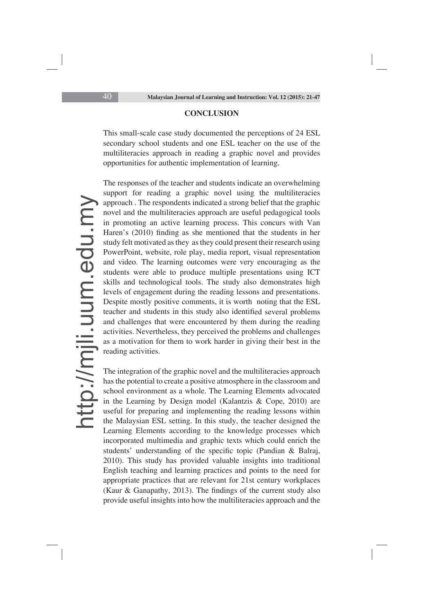#### **CONCLUSION**

This small-scale case study documented the perceptions of 24 ESL secondary school students and one ESL teacher on the use of the multiliteracies approach in reading a graphic novel and provides opportunities for authentic implementation of learning.

The responses of the teacher and students indicate an overwhelming support for reading a graphic novel using the multiliteracies approach . The respondents indicated a strong belief that the graphic novel and the multiliteracies approach are useful pedagogical tools in promoting an active learning process. This concurs with Van Haren's (2010) finding as she mentioned that the students in her study felt motivated as they as they could present their research using PowerPoint, website, role play, media report, visual representation and video. The learning outcomes were very encouraging as the students were able to produce multiple presentations using ICT skills and technological tools. The study also demonstrates high levels of engagement during the reading lessons and presentations. Despite mostly positive comments, it is worth noting that the ESL teacher and students in this study also identified several problems and challenges that were encountered by them during the reading activities. Nevertheless, they perceived the problems and challenges as a motivation for them to work harder in giving their best in the reading activities.

The integration of the graphic novel and the multiliteracies approach has the potential to create a positive atmosphere in the classroom and school environment as a whole. The Learning Elements advocated in the Learning by Design model (Kalantzis & Cope, 2010) are useful for preparing and implementing the reading lessons within the Malaysian ESL setting. In this study, the teacher designed the Learning Elements according to the knowledge processes which incorporated multimedia and graphic texts which could enrich the students' understanding of the specific topic (Pandian & Balraj, 2010). This study has provided valuable insights into traditional English teaching and learning practices and points to the need for appropriate practices that are relevant for 21st century workplaces (Kaur & Ganapathy, 2013). The findings of the current study also provide useful insights into how the multiliteracies approach and the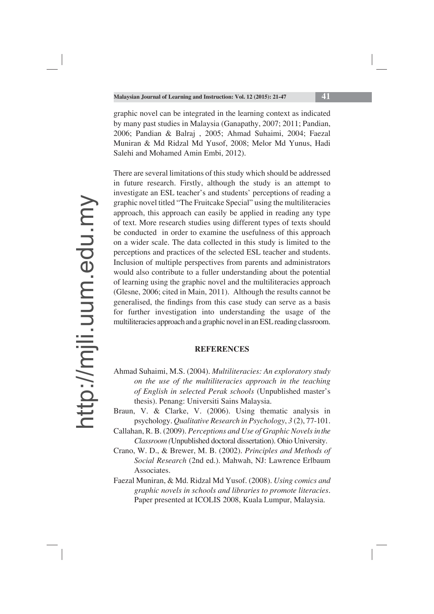graphic novel can be integrated in the learning context as indicated by many past studies in Malaysia (Ganapathy, 2007; 2011; Pandian, 2006; Pandian & Balraj , 2005; Ahmad Suhaimi, 2004; Faezal Muniran & Md Ridzal Md Yusof, 2008; Melor Md Yunus, Hadi Salehi and Mohamed Amin Embi, 2012).

There are several limitations of this study which should be addressed in future research. Firstly, although the study is an attempt to investigate an ESL teacher's and students' perceptions of reading a graphic novel titled "The Fruitcake Special" using the multiliteracies approach, this approach can easily be applied in reading any type of text. More research studies using different types of texts should be conducted in order to examine the usefulness of this approach on a wider scale. The data collected in this study is limited to the perceptions and practices of the selected ESL teacher and students. Inclusion of multiple perspectives from parents and administrators would also contribute to a fuller understanding about the potential of learning using the graphic novel and the multiliteracies approach (Glesne, 2006; cited in Main, 2011). Although the results cannot be generalised, the findings from this case study can serve as a basis for further investigation into understanding the usage of the multiliteracies approach and a graphic novel in an ESL reading classroom.

#### **REFERENCES**

Ahmad Suhaimi, M.S. (2004). *Multiliteracies: An exploratory study on the use of the multiliteracies approach in the teaching of English in selected Perak schools* (Unpublished master's thesis). Penang: Universiti Sains Malaysia.

Braun, V. & Clarke, V. (2006). Using thematic analysis in psychology. *Qualitative Research in Psychology*, *3* (2), 77-101.

- Callahan, R. B. (2009). *Perceptions and Use of Graphic Novels in the Classroom (*Unpublished doctoral dissertation). Ohio University.
- Crano, W. D., & Brewer, M. B. (2002). *Principles and Methods of Social Research* (2nd ed.). Mahwah, NJ: Lawrence Erlbaum Associates.
- Faezal Muniran, & Md. Ridzal Md Yusof. (2008). *Using comics and graphic novels in schools and libraries to promote literacies*. Paper presented at ICOLIS 2008, Kuala Lumpur, Malaysia.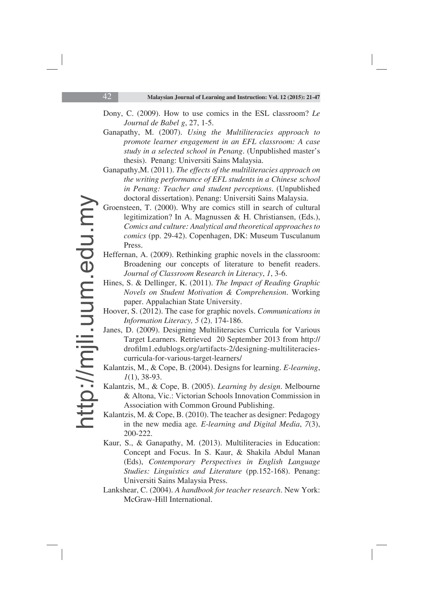- Dony, C. (2009). How to use comics in the ESL classroom? *Le Journal de Babel g*, 27, 1-5.
- Ganapathy, M. (2007). *Using the Multiliteracies approach to promote learner engagement in an EFL classroom: A case study in a selected school in Penang*. (Unpublished master's thesis). Penang: Universiti Sains Malaysia.
- Ganapathy,M. (2011). *The effects of the multiliteracies approach on the writing performance of EFL students in a Chinese school in Penang: Teacher and student perceptions*. (Unpublished doctoral dissertation). Penang: Universiti Sains Malaysia.
- Groensteen, T. (2000). Why are comics still in search of cultural legitimization? In A. Magnussen & H. Christiansen, (Eds.), *Comics and culture: Analytical and theoretical approaches to comics* (pp. 29-42). Copenhagen, DK: Museum Tusculanum Press.
- Heffernan, A. (2009). Rethinking graphic novels in the classroom: Broadening our concepts of literature to benefit readers. *Journal of Classroom Research in Literacy*, *1*, 3-6.
- Hines, S. & Dellinger, K. (2011). *The Impact of Reading Graphic Novels on Student Motivation & Comprehension*. Working paper. Appalachian State University.
- Hoover, S. (2012). The case for graphic novels. *Communications in Information Literacy, 5* (2), 174-186.
- Janes, D. (2009). Designing Multiliteracies Curricula for Various Target Learners. Retrieved 20 September 2013 from http:// drofilm1.edublogs.org/artifacts-2/designing-multiliteraciescurricula-for-various-target-learners/
- Kalantzis, M., & Cope, B. (2004). Designs for learning. *E-learning*, *1*(1), 38-93.
- Kalantzis, M., & Cope, B. (2005). *Learning by design*. Melbourne & Altona, Vic.: Victorian Schools Innovation Commission in Association with Common Ground Publishing.
- Kalantzis, M. & Cope, B. (2010). The teacher as designer: Pedagogy in the new media age*. E-learning and Digital Media*, *7*(3), 200-222.
- Kaur, S., & Ganapathy, M. (2013). Multiliteracies in Education: Concept and Focus. In S. Kaur, & Shakila Abdul Manan (Eds), *Contemporary Perspectives in English Language Studies: Linguistics and Literature* (pp.152-168). Penang: Universiti Sains Malaysia Press.
- Lankshear, C. (2004). *A handbook for teacher research*. New York: McGraw-Hill International.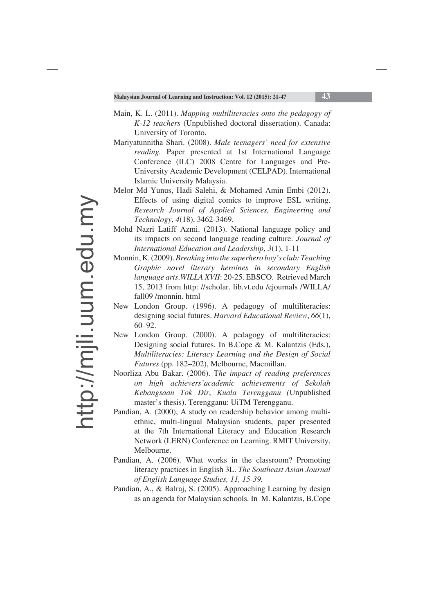- Main, K. L. (2011). *Mapping multiliteracies onto the pedagogy of K-12 teachers* (Unpublished doctoral dissertation). Canada: University of Toronto.
- Mariyatunnitha Shari. (2008). *Male teenagers' need for extensive reading.* Paper presented at 1st International Language Conference (ILC) 2008 Centre for Languages and Pre-University Academic Development (CELPAD). International Islamic University Malaysia.
- Melor Md Yunus, Hadi Salehi, & Mohamed Amin Embi (2012). Effects of using digital comics to improve ESL writing. *Research Journal of Applied Sciences, Engineering and Technology*, *4*(18), 3462-3469.
- Mohd Nazri Latiff Azmi. (2013). National language policy and its impacts on second language reading culture. *Journal of International Education and Leadership*, *3*(1), 1-11
- Monnin, K. (2009). *Breaking into the superhero boy's club: Teaching Graphic novel literary heroines in secondary English language arts*.*WILLA XVII*: 20-25. EBSCO. Retrieved March 15, 2013 from http: //scholar. lib.vt.edu /ejournals /WILLA/ fall09 /monnin. html
- New London Group. (1996). A pedagogy of multiliteracies: designing social futures. *Harvard Educational Review*, *66*(1), 60–92.
- New London Group. (2000). A pedagogy of multiliteracies: Designing social futures. In B.Cope & M. Kalantzis (Eds.), *Multiliteracies: Literacy Learning and the Design of Social Futures* (pp. 182–202), Melbourne, Macmillan.
- Noorliza Abu Bakar. (2006). T*he impact of reading preferences on high achievers'academic achievements of Sekolah Kebangsaan Tok Dir*, *Kuala Terengganu (*Unpublished master's thesis). Terengganu: UiTM Terengganu.
- Pandian, A. (2000), A study on readership behavior among multiethnic, multi-lingual Malaysian students, paper presented at the 7th International Literacy and Education Research Network (LERN) Conference on Learning. RMIT University, Melbourne.
- Pandian, A. (2006). What works in the classroom? Promoting literacy practices in English 3L. *The Southeast Asian Journal of English Language Studies, 11, 15-39.*
- Pandian, A., & Balraj, S. (2005). Approaching Learning by design as an agenda for Malaysian schools. In M. Kalantzis, B.Cope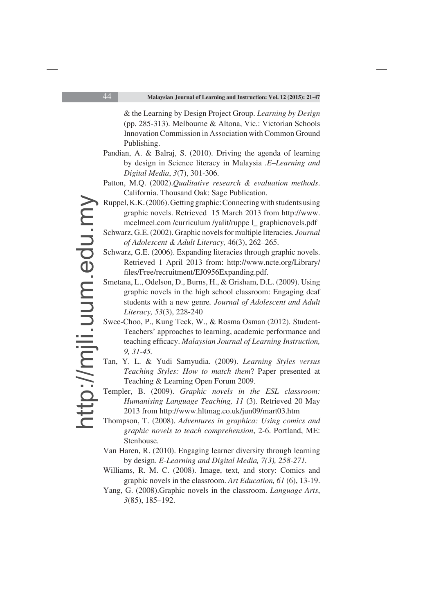& the Learning by Design Project Group. *Learning by Design* (pp. 285-313). Melbourne & Altona, Vic.: Victorian Schools Innovation Commission in Association with Common Ground Publishing.

- Pandian, A. & Balraj, S. (2010). Driving the agenda of learning by design in Science literacy in Malaysia .*E–Learning and Digital Media*, *3*(7), 301-306.
- Patton, M.Q. (2002).*Qualitative research & evaluation methods*. California. Thousand Oak: Sage Publication.
- Ruppel, K.K. (2006). Getting graphic: Connecting with students using graphic novels. Retrieved 15 March 2013 from http://www. mcelmeel.com /curriculum /yalit/ruppe l\_ graphicnovels.pdf
- Schwarz, G.E. (2002). Graphic novels for multiple literacies. *Journal of Adolescent & Adult Literacy,* 46(3), 262–265.
- Schwarz, G.E. (2006). Expanding literacies through graphic novels. Retrieved 1 April 2013 from: http://www.ncte.org/Library/ files/Free/recruitment/EJ0956Expanding.pdf.
- Smetana, L., Odelson, D., Burns, H., & Grisham, D.L. (2009). Using graphic novels in the high school classroom: Engaging deaf students with a new genre*. Journal of Adolescent and Adult Literacy, 53*(3), 228-240
- Swee-Choo, P., Kung Teck, W., & Rosma Osman (2012). Student-Teachers' approaches to learning, academic performance and teaching efficacy. *Malaysian Journal of Learning Instruction*, *9, 31-45.*
- Tan, Y. L. & Yudi Samyudia. (2009). *Learning Styles versus Teaching Styles: How to match them*? Paper presented at Teaching & Learning Open Forum 2009.
- Templer, B. (2009). *Graphic novels in the ESL classroom: Humanising Language Teaching, 11* (3). Retrieved 20 May 2013 from http://www.hltmag.co.uk/jun09/mart03.htm
- Thompson, T. (2008). *Adventures in graphica: Using comics and graphic novels to teach comprehension*, 2-6. Portland, ME: Stenhouse.
- Van Haren, R. (2010). Engaging learner diversity through learning by design. *E-Learning and Digital Media, 7(3), 258-271.*
- Williams, R. M. C. (2008). Image, text, and story: Comics and graphic novels in the classroom. *Art Education, 61* (6), 13-19.
- Yang, G. (2008).Graphic novels in the classroom. *Language Arts*, *3*(85), 185–192.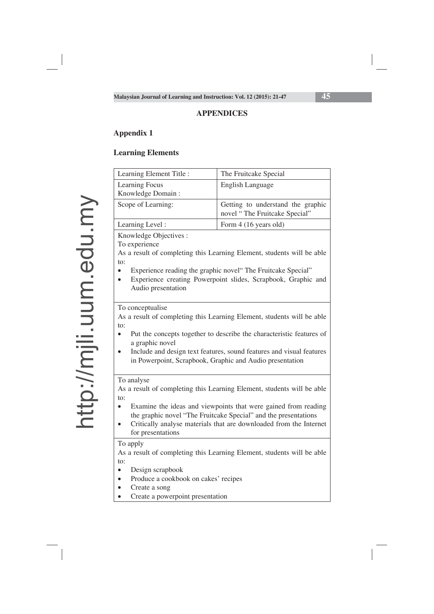### **APPENDICES**

# **Appendix 1**

## **Learning Elements**

| Learning Element Title :                                                                                                                                                                                                                                                                                                                              | The Fruitcake Special                                                  |  |  |  |
|-------------------------------------------------------------------------------------------------------------------------------------------------------------------------------------------------------------------------------------------------------------------------------------------------------------------------------------------------------|------------------------------------------------------------------------|--|--|--|
| <b>Learning Focus</b>                                                                                                                                                                                                                                                                                                                                 | <b>English Language</b>                                                |  |  |  |
| Knowledge Domain:                                                                                                                                                                                                                                                                                                                                     |                                                                        |  |  |  |
| Scope of Learning:                                                                                                                                                                                                                                                                                                                                    | Getting to understand the graphic<br>novel "The Fruitcake Special"     |  |  |  |
| Learning Level:                                                                                                                                                                                                                                                                                                                                       | Form 4 (16 years old)                                                  |  |  |  |
| Knowledge Objectives :<br>To experience<br>As a result of completing this Learning Element, students will be able<br>to:<br>Experience reading the graphic novel" The Fruitcake Special"<br>$\bullet$<br>Experience creating Powerpoint slides, Scrapbook, Graphic and<br>$\bullet$<br>Audio presentation                                             |                                                                        |  |  |  |
| To conceptualise<br>As a result of completing this Learning Element, students will be able<br>to:<br>Put the concepts together to describe the characteristic features of<br>$\bullet$<br>a graphic novel<br>Include and design text features, sound features and visual features<br>in Powerpoint, Scrapbook, Graphic and Audio presentation         |                                                                        |  |  |  |
| To analyse<br>As a result of completing this Learning Element, students will be able<br>to:<br>Examine the ideas and viewpoints that were gained from reading<br>$\bullet$<br>the graphic novel "The Fruitcake Special" and the presentations<br>Critically analyse materials that are downloaded from the Internet<br>$\bullet$<br>for presentations |                                                                        |  |  |  |
| To apply<br>to:<br>Design scrapbook<br>$\bullet$<br>Produce a cookbook on cakes' recipes<br>$\bullet$<br>Create a song<br>$\bullet$<br>Create a powerpoint presentation                                                                                                                                                                               | As a result of completing this Learning Element, students will be able |  |  |  |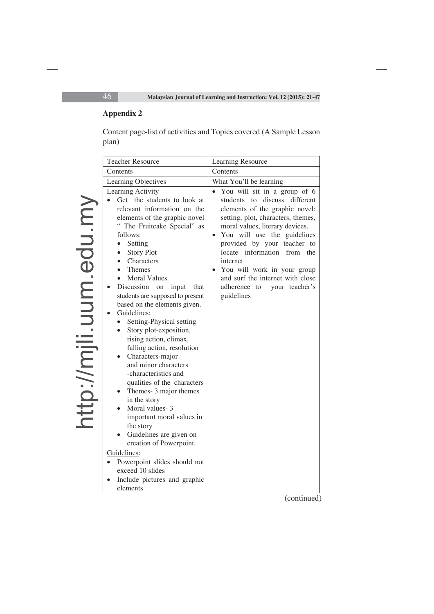# **Appendix 2**

Content page-list of activities and Topics covered (A Sample Lesson plan)

| <b>Teacher Resource</b>                                                                                                                                                                                                                                                                                                                                                                                                                                                                                                                                                                                                                                                                                                                                                                                         | Learning Resource                                                                                                                                                                                                                                                                                                                                                                                                          |  |
|-----------------------------------------------------------------------------------------------------------------------------------------------------------------------------------------------------------------------------------------------------------------------------------------------------------------------------------------------------------------------------------------------------------------------------------------------------------------------------------------------------------------------------------------------------------------------------------------------------------------------------------------------------------------------------------------------------------------------------------------------------------------------------------------------------------------|----------------------------------------------------------------------------------------------------------------------------------------------------------------------------------------------------------------------------------------------------------------------------------------------------------------------------------------------------------------------------------------------------------------------------|--|
| Contents                                                                                                                                                                                                                                                                                                                                                                                                                                                                                                                                                                                                                                                                                                                                                                                                        | Contents                                                                                                                                                                                                                                                                                                                                                                                                                   |  |
| Learning Objectives                                                                                                                                                                                                                                                                                                                                                                                                                                                                                                                                                                                                                                                                                                                                                                                             | What You'll be learning                                                                                                                                                                                                                                                                                                                                                                                                    |  |
| Learning Activity<br>Get the students to look at<br>relevant information on the<br>elements of the graphic novel<br>" The Fruitcake Special" as<br>follows:<br>Setting<br>$\bullet$<br><b>Story Plot</b><br>Characters<br>$\bullet$<br>Themes<br><b>Moral Values</b><br>Discussion on<br>input<br>that<br>students are supposed to present<br>based on the elements given.<br>Guidelines:<br>Setting-Physical setting<br>$\bullet$<br>Story plot-exposition,<br>$\bullet$<br>rising action, climax,<br>falling action, resolution<br>Characters-major<br>and minor characters<br>-characteristics and<br>qualities of the characters<br>Themes- 3 major themes<br>in the story<br>Moral values-3<br>important moral values in<br>the story<br>Guidelines are given on<br>creation of Powerpoint.<br>Guidelines: | You will sit in a group of 6<br>discuss<br>different<br>students to<br>elements of the graphic novel:<br>setting, plot, characters, themes,<br>moral values, literary devices.<br>You will use the guidelines<br>$\bullet$<br>provided by your teacher to<br>locate information from<br>the<br>internet<br>You will work in your group<br>and surf the internet with close<br>adherence to<br>your teacher's<br>guidelines |  |
| Powerpoint slides should not                                                                                                                                                                                                                                                                                                                                                                                                                                                                                                                                                                                                                                                                                                                                                                                    |                                                                                                                                                                                                                                                                                                                                                                                                                            |  |
| exceed 10 slides                                                                                                                                                                                                                                                                                                                                                                                                                                                                                                                                                                                                                                                                                                                                                                                                |                                                                                                                                                                                                                                                                                                                                                                                                                            |  |
| Include pictures and graphic<br>elements                                                                                                                                                                                                                                                                                                                                                                                                                                                                                                                                                                                                                                                                                                                                                                        |                                                                                                                                                                                                                                                                                                                                                                                                                            |  |

(continued)